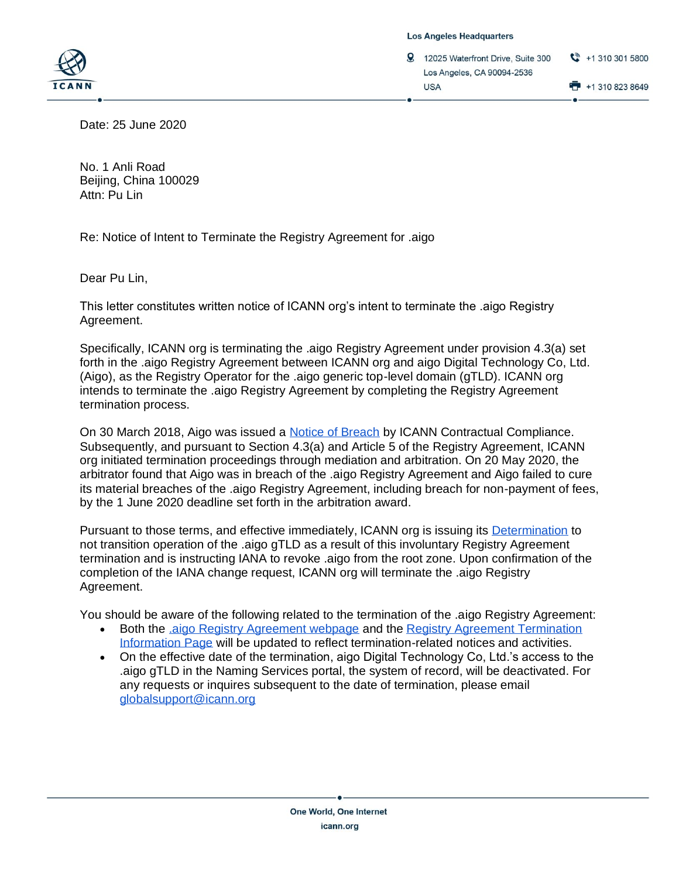

**Los Angeles Headquarters** 

9 12025 Waterfront Drive, Suite 300 Los Angeles, CA 90094-2536 **USA** 

 $\binom{8}{2}$  +1 310 301 5800

+1 310 823 8649

Date: 25 June 2020

No. 1 Anli Road Beijing, China 100029 Attn: Pu Lin

Re: Notice of Intent to Terminate the Registry Agreement for .aigo

Dear Pu Lin,

This letter constitutes written notice of ICANN org's intent to terminate the .aigo Registry Agreement.

Specifically, ICANN org is terminating the .aigo Registry Agreement under provision 4.3(a) set forth in the .aigo Registry Agreement between ICANN org and aigo Digital Technology Co, Ltd. (Aigo), as the Registry Operator for the .aigo generic top-level domain (gTLD). ICANN org intends to terminate the .aigo Registry Agreement by completing the Registry Agreement termination process.

On 30 March 2018, Aigo was issued a [Notice of Breach](https://www.icann.org/uploads/compliance_notice/attachment/1019/serad-to-lin-30mar18.pdf) by ICANN Contractual Compliance. Subsequently, and pursuant to Section 4.3(a) and Article 5 of the Registry Agreement, ICANN org initiated termination proceedings through mediation and arbitration. On 20 May 2020, the arbitrator found that Aigo was in breach of the .aigo Registry Agreement and Aigo failed to cure its material breaches of the .aigo Registry Agreement, including breach for non-payment of fees, by the 1 June 2020 deadline set forth in the arbitration award.

Pursuant to those terms, and effective immediately, ICANN org is issuing its [Determination](https://www.icann.org/resources/pages/gtld-registry-agreement-termination-2015-10-09-en) to not transition operation of the .aigo gTLD as a result of this involuntary Registry Agreement termination and is instructing IANA to revoke .aigo from the root zone. Upon confirmation of the completion of the IANA change request, ICANN org will terminate the .aigo Registry Agreement.

You should be aware of the following related to the termination of the .aigo Registry Agreement:

- Both the [.aigo Registry Agreement webpage](https://www.icann.org/resources/agreement/aigo-2015-08-06-en) and the [Registry Agreement Termination](https://www.icann.org/resources/pages/gtld-registry-agreement-termination-2015-10-09-en)  [Information Page](https://www.icann.org/resources/pages/gtld-registry-agreement-termination-2015-10-09-en) will be updated to reflect termination-related notices and activities.
- On the effective date of the termination, aigo Digital Technology Co, Ltd.'s access to the .aigo gTLD in the Naming Services portal, the system of record, will be deactivated. For any requests or inquires subsequent to the date of termination, please email [globalsupport@icann.org](mailto:globalsupport@icann.org)